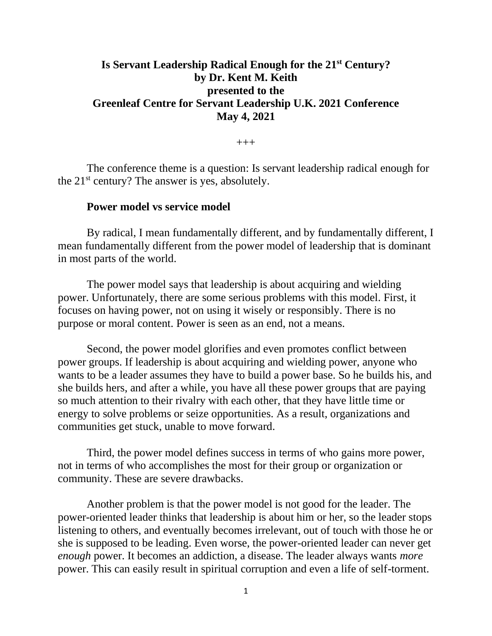# **Is Servant Leadership Radical Enough for the 21st Century? by Dr. Kent M. Keith presented to the Greenleaf Centre for Servant Leadership U.K. 2021 Conference May 4, 2021**

 $+++$ 

The conference theme is a question: Is servant leadership radical enough for the 21<sup>st</sup> century? The answer is yes, absolutely.

### **Power model vs service model**

By radical, I mean fundamentally different, and by fundamentally different, I mean fundamentally different from the power model of leadership that is dominant in most parts of the world.

The power model says that leadership is about acquiring and wielding power. Unfortunately, there are some serious problems with this model. First, it focuses on having power, not on using it wisely or responsibly. There is no purpose or moral content. Power is seen as an end, not a means.

Second, the power model glorifies and even promotes conflict between power groups. If leadership is about acquiring and wielding power, anyone who wants to be a leader assumes they have to build a power base. So he builds his, and she builds hers, and after a while, you have all these power groups that are paying so much attention to their rivalry with each other, that they have little time or energy to solve problems or seize opportunities. As a result, organizations and communities get stuck, unable to move forward.

Third, the power model defines success in terms of who gains more power, not in terms of who accomplishes the most for their group or organization or community. These are severe drawbacks.

Another problem is that the power model is not good for the leader. The power-oriented leader thinks that leadership is about him or her, so the leader stops listening to others, and eventually becomes irrelevant, out of touch with those he or she is supposed to be leading. Even worse, the power-oriented leader can never get *enough* power. It becomes an addiction, a disease. The leader always wants *more* power. This can easily result in spiritual corruption and even a life of self-torment.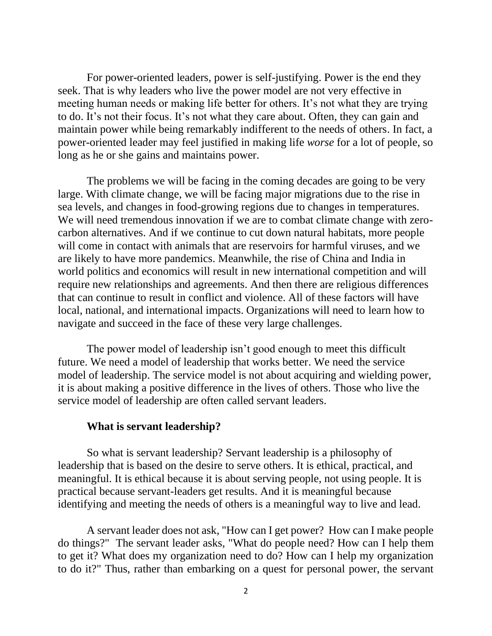For power-oriented leaders, power is self-justifying. Power is the end they seek. That is why leaders who live the power model are not very effective in meeting human needs or making life better for others. It's not what they are trying to do. It's not their focus. It's not what they care about. Often, they can gain and maintain power while being remarkably indifferent to the needs of others. In fact, a power-oriented leader may feel justified in making life *worse* for a lot of people, so long as he or she gains and maintains power.

The problems we will be facing in the coming decades are going to be very large. With climate change, we will be facing major migrations due to the rise in sea levels, and changes in food-growing regions due to changes in temperatures. We will need tremendous innovation if we are to combat climate change with zerocarbon alternatives. And if we continue to cut down natural habitats, more people will come in contact with animals that are reservoirs for harmful viruses, and we are likely to have more pandemics. Meanwhile, the rise of China and India in world politics and economics will result in new international competition and will require new relationships and agreements. And then there are religious differences that can continue to result in conflict and violence. All of these factors will have local, national, and international impacts. Organizations will need to learn how to navigate and succeed in the face of these very large challenges.

The power model of leadership isn't good enough to meet this difficult future. We need a model of leadership that works better. We need the service model of leadership. The service model is not about acquiring and wielding power, it is about making a positive difference in the lives of others. Those who live the service model of leadership are often called servant leaders.

#### **What is servant leadership?**

So what is servant leadership? Servant leadership is a philosophy of leadership that is based on the desire to serve others. It is ethical, practical, and meaningful. It is ethical because it is about serving people, not using people. It is practical because servant-leaders get results. And it is meaningful because identifying and meeting the needs of others is a meaningful way to live and lead.

A servant leader does not ask, "How can I get power? How can I make people do things?" The servant leader asks, "What do people need? How can I help them to get it? What does my organization need to do? How can I help my organization to do it?" Thus, rather than embarking on a quest for personal power, the servant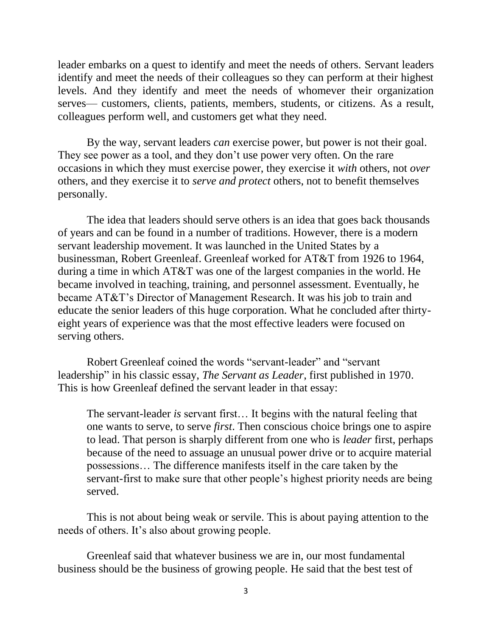leader embarks on a quest to identify and meet the needs of others. Servant leaders identify and meet the needs of their colleagues so they can perform at their highest levels. And they identify and meet the needs of whomever their organization serves— customers, clients, patients, members, students, or citizens. As a result, colleagues perform well, and customers get what they need.

By the way, servant leaders *can* exercise power, but power is not their goal. They see power as a tool, and they don't use power very often. On the rare occasions in which they must exercise power, they exercise it *with* others, not *over* others, and they exercise it to *serve and protect* others, not to benefit themselves personally.

The idea that leaders should serve others is an idea that goes back thousands of years and can be found in a number of traditions. However, there is a modern servant leadership movement. It was launched in the United States by a businessman, Robert Greenleaf. Greenleaf worked for AT&T from 1926 to 1964, during a time in which AT&T was one of the largest companies in the world. He became involved in teaching, training, and personnel assessment. Eventually, he became AT&T's Director of Management Research. It was his job to train and educate the senior leaders of this huge corporation. What he concluded after thirtyeight years of experience was that the most effective leaders were focused on serving others.

Robert Greenleaf coined the words "servant-leader" and "servant leadership" in his classic essay, *The Servant as Leader*, first published in 1970. This is how Greenleaf defined the servant leader in that essay:

The servant-leader *is* servant first… It begins with the natural feeling that one wants to serve, to serve *first*. Then conscious choice brings one to aspire to lead. That person is sharply different from one who is *leader* first, perhaps because of the need to assuage an unusual power drive or to acquire material possessions… The difference manifests itself in the care taken by the servant-first to make sure that other people's highest priority needs are being served.

This is not about being weak or servile. This is about paying attention to the needs of others. It's also about growing people.

Greenleaf said that whatever business we are in, our most fundamental business should be the business of growing people. He said that the best test of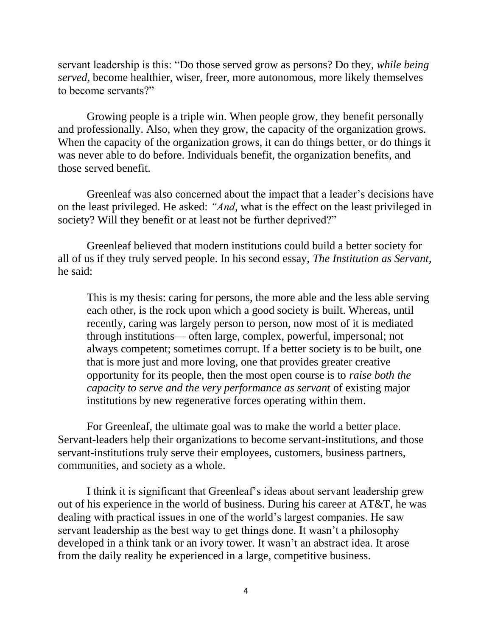servant leadership is this: "Do those served grow as persons? Do they, *while being served*, become healthier, wiser, freer, more autonomous, more likely themselves to become servants?"

Growing people is a triple win. When people grow, they benefit personally and professionally. Also, when they grow, the capacity of the organization grows. When the capacity of the organization grows, it can do things better, or do things it was never able to do before. Individuals benefit, the organization benefits, and those served benefit.

Greenleaf was also concerned about the impact that a leader's decisions have on the least privileged. He asked: *"And*, what is the effect on the least privileged in society? Will they benefit or at least not be further deprived?"

Greenleaf believed that modern institutions could build a better society for all of us if they truly served people. In his second essay, *The Institution as Servant*, he said:

This is my thesis: caring for persons, the more able and the less able serving each other, is the rock upon which a good society is built. Whereas, until recently, caring was largely person to person, now most of it is mediated through institutions— often large, complex, powerful, impersonal; not always competent; sometimes corrupt. If a better society is to be built, one that is more just and more loving, one that provides greater creative opportunity for its people, then the most open course is to *raise both the capacity to serve and the very performance as servant* of existing major institutions by new regenerative forces operating within them.

For Greenleaf, the ultimate goal was to make the world a better place. Servant-leaders help their organizations to become servant-institutions, and those servant-institutions truly serve their employees, customers, business partners, communities, and society as a whole.

I think it is significant that Greenleaf's ideas about servant leadership grew out of his experience in the world of business. During his career at AT&T, he was dealing with practical issues in one of the world's largest companies. He saw servant leadership as the best way to get things done. It wasn't a philosophy developed in a think tank or an ivory tower. It wasn't an abstract idea. It arose from the daily reality he experienced in a large, competitive business.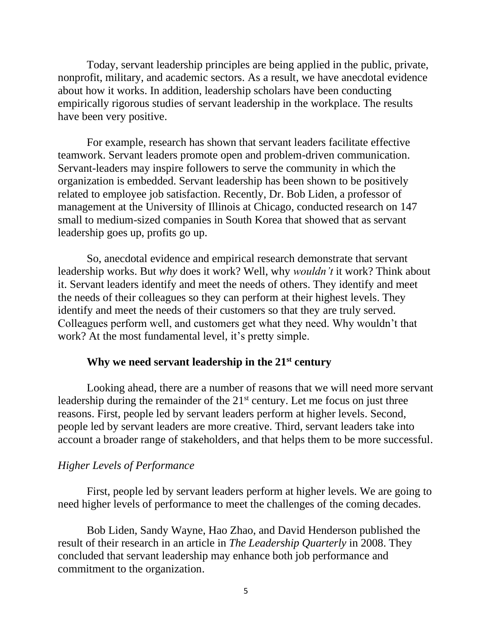Today, servant leadership principles are being applied in the public, private, nonprofit, military, and academic sectors. As a result, we have anecdotal evidence about how it works. In addition, leadership scholars have been conducting empirically rigorous studies of servant leadership in the workplace. The results have been very positive.

For example, research has shown that servant leaders facilitate effective teamwork. Servant leaders promote open and problem-driven communication. Servant-leaders may inspire followers to serve the community in which the organization is embedded. Servant leadership has been shown to be positively related to employee job satisfaction. Recently, Dr. Bob Liden, a professor of management at the University of Illinois at Chicago, conducted research on 147 small to medium-sized companies in South Korea that showed that as servant leadership goes up, profits go up.

So, anecdotal evidence and empirical research demonstrate that servant leadership works. But *why* does it work? Well, why *wouldn't* it work? Think about it. Servant leaders identify and meet the needs of others. They identify and meet the needs of their colleagues so they can perform at their highest levels. They identify and meet the needs of their customers so that they are truly served. Colleagues perform well, and customers get what they need. Why wouldn't that work? At the most fundamental level, it's pretty simple.

#### **Why we need servant leadership in the 21st century**

Looking ahead, there are a number of reasons that we will need more servant leadership during the remainder of the 21<sup>st</sup> century. Let me focus on just three reasons. First, people led by servant leaders perform at higher levels. Second, people led by servant leaders are more creative. Third, servant leaders take into account a broader range of stakeholders, and that helps them to be more successful.

## *Higher Levels of Performance*

First, people led by servant leaders perform at higher levels. We are going to need higher levels of performance to meet the challenges of the coming decades.

Bob Liden, Sandy Wayne, Hao Zhao, and David Henderson published the result of their research in an article in *The Leadership Quarterly* in 2008. They concluded that servant leadership may enhance both job performance and commitment to the organization.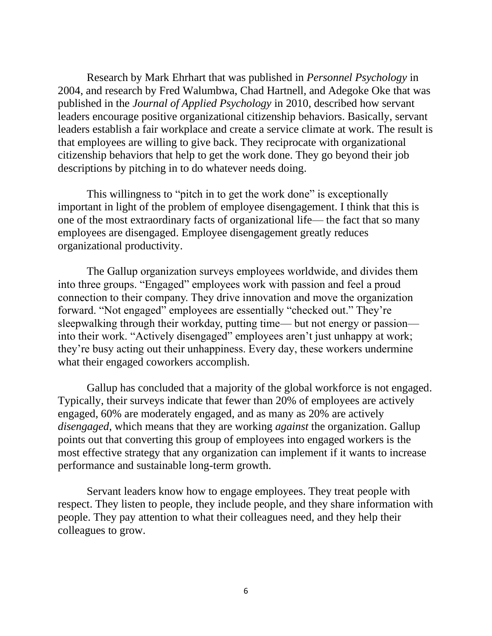Research by Mark Ehrhart that was published in *Personnel Psychology* in 2004, and research by Fred Walumbwa, Chad Hartnell, and Adegoke Oke that was published in the *Journal of Applied Psychology* in 2010, described how servant leaders encourage positive organizational citizenship behaviors. Basically, servant leaders establish a fair workplace and create a service climate at work. The result is that employees are willing to give back. They reciprocate with organizational citizenship behaviors that help to get the work done. They go beyond their job descriptions by pitching in to do whatever needs doing.

This willingness to "pitch in to get the work done" is exceptionally important in light of the problem of employee disengagement. I think that this is one of the most extraordinary facts of organizational life— the fact that so many employees are disengaged. Employee disengagement greatly reduces organizational productivity.

The Gallup organization surveys employees worldwide, and divides them into three groups. "Engaged" employees work with passion and feel a proud connection to their company. They drive innovation and move the organization forward. "Not engaged" employees are essentially "checked out." They're sleepwalking through their workday, putting time— but not energy or passion into their work. "Actively disengaged" employees aren't just unhappy at work; they're busy acting out their unhappiness. Every day, these workers undermine what their engaged coworkers accomplish.

Gallup has concluded that a majority of the global workforce is not engaged. Typically, their surveys indicate that fewer than 20% of employees are actively engaged, 60% are moderately engaged, and as many as 20% are actively *disengaged*, which means that they are working *against* the organization. Gallup points out that converting this group of employees into engaged workers is the most effective strategy that any organization can implement if it wants to increase performance and sustainable long-term growth.

Servant leaders know how to engage employees. They treat people with respect. They listen to people, they include people, and they share information with people. They pay attention to what their colleagues need, and they help their colleagues to grow.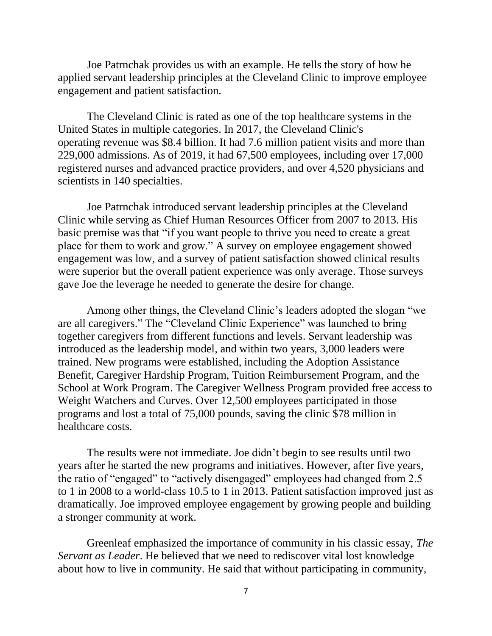Joe Patrnchak provides us with an example. He tells the story of how he applied servant leadership principles at the Cleveland Clinic to improve employee engagement and patient satisfaction.

The Cleveland Clinic is rated as one of the top healthcare systems in the United States in multiple categories. In 2017, the Cleveland Clinic's operating [revenue](https://en.wikipedia.org/wiki/Revenue) was \$8.4 billion. It had 7.6 million patient visits and more than 229,000 admissions. As of 2019, it had 67,500 employees, including over 17,000 registered nurses and advanced practice providers, and over 4,520 physicians and scientists in 140 specialties.

Joe Patrnchak introduced servant leadership principles at the Cleveland Clinic while serving as Chief Human Resources Officer from 2007 to 2013. His basic premise was that "if you want people to thrive you need to create a great place for them to work and grow." A survey on employee engagement showed engagement was low, and a survey of patient satisfaction showed clinical results were superior but the overall patient experience was only average. Those surveys gave Joe the leverage he needed to generate the desire for change.

Among other things, the Cleveland Clinic's leaders adopted the slogan "we are all caregivers." The "Cleveland Clinic Experience" was launched to bring together caregivers from different functions and levels. Servant leadership was introduced as the leadership model, and within two years, 3,000 leaders were trained. New programs were established, including the Adoption Assistance Benefit, Caregiver Hardship Program, Tuition Reimbursement Program, and the School at Work Program. The Caregiver Wellness Program provided free access to Weight Watchers and Curves. Over 12,500 employees participated in those programs and lost a total of 75,000 pounds, saving the clinic \$78 million in healthcare costs.

The results were not immediate. Joe didn't begin to see results until two years after he started the new programs and initiatives. However, after five years, the ratio of "engaged" to "actively disengaged" employees had changed from 2.5 to 1 in 2008 to a world-class 10.5 to 1 in 2013. Patient satisfaction improved just as dramatically. Joe improved employee engagement by growing people and building a stronger community at work.

Greenleaf emphasized the importance of community in his classic essay, *The Servant as Leader*. He believed that we need to rediscover vital lost knowledge about how to live in community. He said that without participating in community,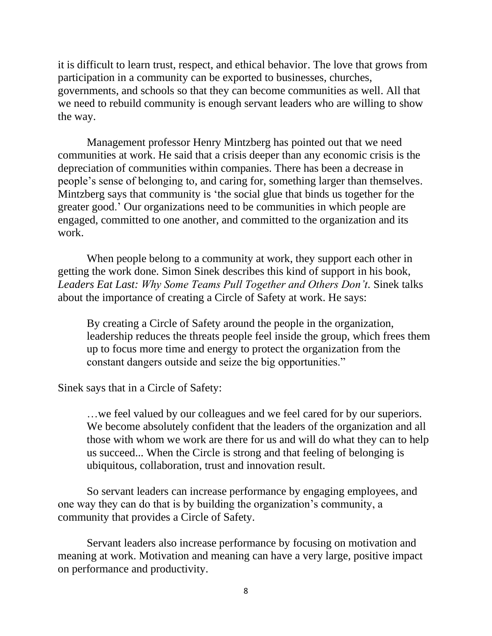it is difficult to learn trust, respect, and ethical behavior. The love that grows from participation in a community can be exported to businesses, churches, governments, and schools so that they can become communities as well. All that we need to rebuild community is enough servant leaders who are willing to show the way.

Management professor Henry Mintzberg has pointed out that we need communities at work. He said that a crisis deeper than any economic crisis is the depreciation of communities within companies. There has been a decrease in people's sense of belonging to, and caring for, something larger than themselves. Mintzberg says that community is 'the social glue that binds us together for the greater good.' Our organizations need to be communities in which people are engaged, committed to one another, and committed to the organization and its work.

When people belong to a community at work, they support each other in getting the work done. Simon Sinek describes this kind of support in his book, *Leaders Eat Last: Why Some Teams Pull Together and Others Don't.* Sinek talks about the importance of creating a Circle of Safety at work. He says:

By creating a Circle of Safety around the people in the organization, leadership reduces the threats people feel inside the group, which frees them up to focus more time and energy to protect the organization from the constant dangers outside and seize the big opportunities."

Sinek says that in a Circle of Safety:

…we feel valued by our colleagues and we feel cared for by our superiors. We become absolutely confident that the leaders of the organization and all those with whom we work are there for us and will do what they can to help us succeed... When the Circle is strong and that feeling of belonging is ubiquitous, collaboration, trust and innovation result.

So servant leaders can increase performance by engaging employees, and one way they can do that is by building the organization's community, a community that provides a Circle of Safety.

Servant leaders also increase performance by focusing on motivation and meaning at work. Motivation and meaning can have a very large, positive impact on performance and productivity.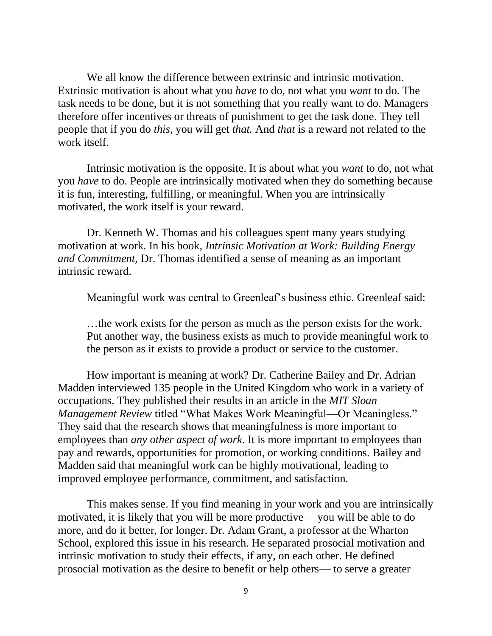We all know the difference between extrinsic and intrinsic motivation. Extrinsic motivation is about what you *have* to do, not what you *want* to do. The task needs to be done, but it is not something that you really want to do. Managers therefore offer incentives or threats of punishment to get the task done. They tell people that if you do *this*, you will get *that.* And *that* is a reward not related to the work itself.

Intrinsic motivation is the opposite. It is about what you *want* to do, not what you *have* to do. People are intrinsically motivated when they do something because it is fun, interesting, fulfilling, or meaningful. When you are intrinsically motivated, the work itself is your reward.

Dr. Kenneth W. Thomas and his colleagues spent many years studying motivation at work. In his book, *Intrinsic Motivation at Work: Building Energy and Commitment*, Dr. Thomas identified a sense of meaning as an important intrinsic reward.

Meaningful work was central to Greenleaf's business ethic. Greenleaf said:

…the work exists for the person as much as the person exists for the work. Put another way, the business exists as much to provide meaningful work to the person as it exists to provide a product or service to the customer.

How important is meaning at work? Dr. Catherine Bailey and Dr. Adrian Madden interviewed 135 people in the United Kingdom who work in a variety of occupations. They published their results in an article in the *MIT Sloan Management Review* titled "What Makes Work Meaningful—Or Meaningless." They said that the research shows that meaningfulness is more important to employees than *any other aspect of work*. It is more important to employees than pay and rewards, opportunities for promotion, or working conditions. Bailey and Madden said that meaningful work can be highly motivational, leading to improved employee performance, commitment, and satisfaction.

This makes sense. If you find meaning in your work and you are intrinsically motivated, it is likely that you will be more productive— you will be able to do more, and do it better, for longer. Dr. Adam Grant, a professor at the Wharton School, explored this issue in his research. He separated prosocial motivation and intrinsic motivation to study their effects, if any, on each other. He defined prosocial motivation as the desire to benefit or help others— to serve a greater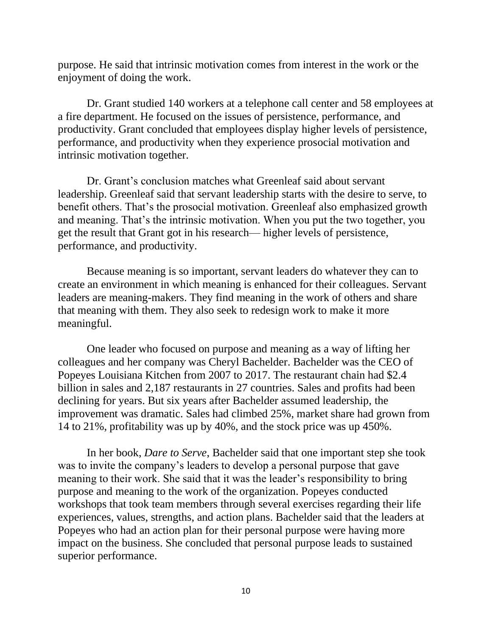purpose. He said that intrinsic motivation comes from interest in the work or the enjoyment of doing the work.

Dr. Grant studied 140 workers at a telephone call center and 58 employees at a fire department. He focused on the issues of persistence, performance, and productivity. Grant concluded that employees display higher levels of persistence, performance, and productivity when they experience prosocial motivation and intrinsic motivation together.

Dr. Grant's conclusion matches what Greenleaf said about servant leadership. Greenleaf said that servant leadership starts with the desire to serve, to benefit others. That's the prosocial motivation. Greenleaf also emphasized growth and meaning. That's the intrinsic motivation. When you put the two together, you get the result that Grant got in his research— higher levels of persistence, performance, and productivity.

Because meaning is so important, servant leaders do whatever they can to create an environment in which meaning is enhanced for their colleagues. Servant leaders are meaning-makers. They find meaning in the work of others and share that meaning with them. They also seek to redesign work to make it more meaningful.

One leader who focused on purpose and meaning as a way of lifting her colleagues and her company was Cheryl Bachelder. Bachelder was the CEO of Popeyes Louisiana Kitchen from 2007 to 2017. The restaurant chain had \$2.4 billion in sales and 2,187 restaurants in 27 countries. Sales and profits had been declining for years. But six years after Bachelder assumed leadership, the improvement was dramatic. Sales had climbed 25%, market share had grown from 14 to 21%, profitability was up by 40%, and the stock price was up 450%.

In her book, *Dare to Serve*, Bachelder said that one important step she took was to invite the company's leaders to develop a personal purpose that gave meaning to their work. She said that it was the leader's responsibility to bring purpose and meaning to the work of the organization. Popeyes conducted workshops that took team members through several exercises regarding their life experiences, values, strengths, and action plans. Bachelder said that the leaders at Popeyes who had an action plan for their personal purpose were having more impact on the business. She concluded that personal purpose leads to sustained superior performance.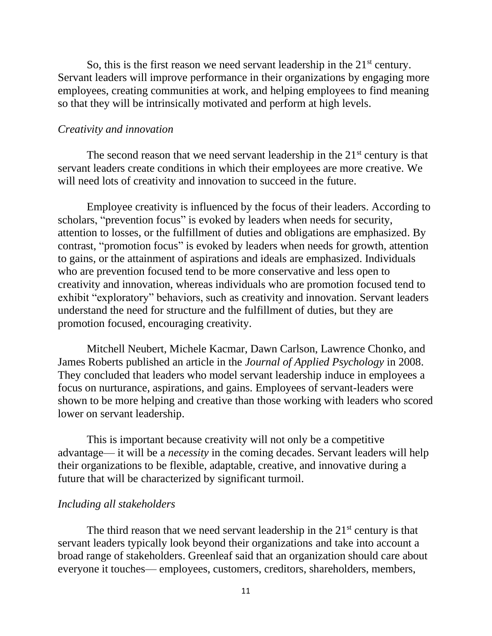So, this is the first reason we need servant leadership in the  $21<sup>st</sup>$  century. Servant leaders will improve performance in their organizations by engaging more employees, creating communities at work, and helping employees to find meaning so that they will be intrinsically motivated and perform at high levels.

#### *Creativity and innovation*

The second reason that we need servant leadership in the  $21<sup>st</sup>$  century is that servant leaders create conditions in which their employees are more creative. We will need lots of creativity and innovation to succeed in the future.

Employee creativity is influenced by the focus of their leaders. According to scholars, "prevention focus" is evoked by leaders when needs for security, attention to losses, or the fulfillment of duties and obligations are emphasized. By contrast, "promotion focus" is evoked by leaders when needs for growth, attention to gains, or the attainment of aspirations and ideals are emphasized. Individuals who are prevention focused tend to be more conservative and less open to creativity and innovation, whereas individuals who are promotion focused tend to exhibit "exploratory" behaviors, such as creativity and innovation. Servant leaders understand the need for structure and the fulfillment of duties, but they are promotion focused, encouraging creativity.

Mitchell Neubert, Michele Kacmar, Dawn Carlson, Lawrence Chonko, and James Roberts published an article in the *Journal of Applied Psychology* in 2008. They concluded that leaders who model servant leadership induce in employees a focus on nurturance, aspirations, and gains. Employees of servant-leaders were shown to be more helping and creative than those working with leaders who scored lower on servant leadership.

This is important because creativity will not only be a competitive advantage— it will be a *necessity* in the coming decades. Servant leaders will help their organizations to be flexible, adaptable, creative, and innovative during a future that will be characterized by significant turmoil.

#### *Including all stakeholders*

The third reason that we need servant leadership in the  $21<sup>st</sup>$  century is that servant leaders typically look beyond their organizations and take into account a broad range of stakeholders. Greenleaf said that an organization should care about everyone it touches— employees, customers, creditors, shareholders, members,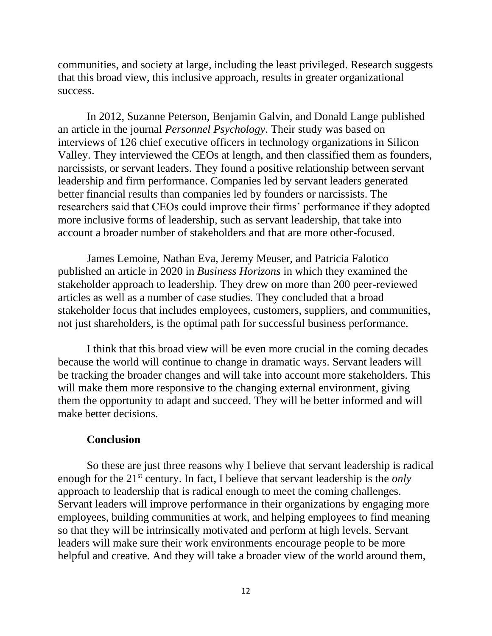communities, and society at large, including the least privileged. Research suggests that this broad view, this inclusive approach, results in greater organizational success.

In 2012, Suzanne Peterson, Benjamin Galvin, and Donald Lange published an article in the journal *Personnel Psychology*. Their study was based on interviews of 126 chief executive officers in technology organizations in Silicon Valley. They interviewed the CEOs at length, and then classified them as founders, narcissists, or servant leaders. They found a positive relationship between servant leadership and firm performance. Companies led by servant leaders generated better financial results than companies led by founders or narcissists. The researchers said that CEOs could improve their firms' performance if they adopted more inclusive forms of leadership, such as servant leadership, that take into account a broader number of stakeholders and that are more other-focused.

James Lemoine, Nathan Eva, Jeremy Meuser, and Patricia Falotico published an article in 2020 in *Business Horizons* in which they examined the stakeholder approach to leadership. They drew on more than 200 peer-reviewed articles as well as a number of case studies. They concluded that a broad stakeholder focus that includes employees, customers, suppliers, and communities, not just shareholders, is the optimal path for successful business performance.

I think that this broad view will be even more crucial in the coming decades because the world will continue to change in dramatic ways. Servant leaders will be tracking the broader changes and will take into account more stakeholders. This will make them more responsive to the changing external environment, giving them the opportunity to adapt and succeed. They will be better informed and will make better decisions.

### **Conclusion**

So these are just three reasons why I believe that servant leadership is radical enough for the 21<sup>st</sup> century. In fact, I believe that servant leadership is the *only* approach to leadership that is radical enough to meet the coming challenges. Servant leaders will improve performance in their organizations by engaging more employees, building communities at work, and helping employees to find meaning so that they will be intrinsically motivated and perform at high levels. Servant leaders will make sure their work environments encourage people to be more helpful and creative. And they will take a broader view of the world around them,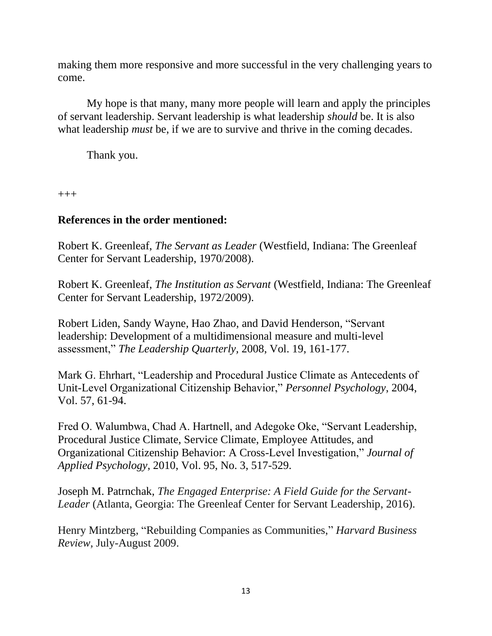making them more responsive and more successful in the very challenging years to come.

My hope is that many, many more people will learn and apply the principles of servant leadership. Servant leadership is what leadership *should* be. It is also what leadership *must* be, if we are to survive and thrive in the coming decades.

Thank you.

+++

# **References in the order mentioned:**

Robert K. Greenleaf, *The Servant as Leader* (Westfield, Indiana: The Greenleaf Center for Servant Leadership, 1970/2008).

Robert K. Greenleaf, *The Institution as Servant* (Westfield, Indiana: The Greenleaf Center for Servant Leadership, 1972/2009).

Robert Liden, Sandy Wayne, Hao Zhao, and David Henderson, "Servant leadership: Development of a multidimensional measure and multi-level assessment," *The Leadership Quarterly,* 2008, Vol. 19, 161-177.

Mark G. Ehrhart, "Leadership and Procedural Justice Climate as Antecedents of Unit-Level Organizational Citizenship Behavior," *Personnel Psychology*, 2004, Vol. 57, 61-94.

Fred O. Walumbwa, Chad A. Hartnell, and Adegoke Oke, "Servant Leadership, Procedural Justice Climate, Service Climate, Employee Attitudes, and Organizational Citizenship Behavior: A Cross-Level Investigation," *Journal of Applied Psychology*, 2010, Vol. 95, No. 3, 517-529.

Joseph M. Patrnchak, *The Engaged Enterprise: A Field Guide for the Servant-Leader* (Atlanta, Georgia: The Greenleaf Center for Servant Leadership, 2016).

Henry Mintzberg, "Rebuilding Companies as Communities," *Harvard Business Review,* July-August 2009.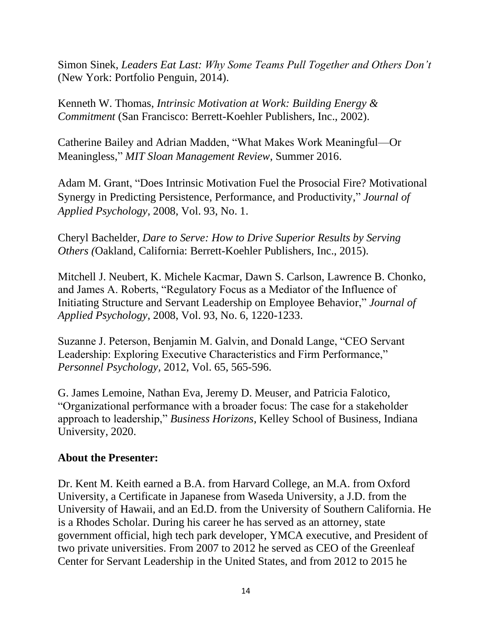Simon Sinek, *Leaders Eat Last: Why Some Teams Pull Together and Others Don't* (New York: Portfolio Penguin, 2014).

Kenneth W. Thomas, *Intrinsic Motivation at Work: Building Energy & Commitment* (San Francisco: Berrett-Koehler Publishers, Inc., 2002).

Catherine Bailey and Adrian Madden, "What Makes Work Meaningful—Or Meaningless," *MIT Sloan Management Review*, Summer 2016.

Adam M. Grant, "Does Intrinsic Motivation Fuel the Prosocial Fire? Motivational Synergy in Predicting Persistence, Performance, and Productivity," *Journal of Applied Psychology,* 2008, Vol. 93, No. 1.

Cheryl Bachelder, *Dare to Serve: How to Drive Superior Results by Serving Others (*Oakland, California: Berrett-Koehler Publishers, Inc., 2015).

Mitchell J. Neubert, K. Michele Kacmar, Dawn S. Carlson, Lawrence B. Chonko, and James A. Roberts, "Regulatory Focus as a Mediator of the Influence of Initiating Structure and Servant Leadership on Employee Behavior," *Journal of Applied Psychology*, 2008, Vol. 93, No. 6, 1220-1233.

Suzanne J. Peterson, Benjamin M. Galvin, and Donald Lange, "CEO Servant Leadership: Exploring Executive Characteristics and Firm Performance," *Personnel Psychology,* 2012, Vol. 65, 565-596.

G. James Lemoine, Nathan Eva, Jeremy D. Meuser, and Patricia Falotico, "Organizational performance with a broader focus: The case for a stakeholder approach to leadership," *Business Horizons*, Kelley School of Business, Indiana University, 2020.

## **About the Presenter:**

Dr. Kent M. Keith earned a B.A. from Harvard College, an M.A. from Oxford University, a Certificate in Japanese from Waseda University, a J.D. from the University of Hawaii, and an Ed.D. from the University of Southern California. He is a Rhodes Scholar. During his career he has served as an attorney, state government official, high tech park developer, YMCA executive, and President of two private universities. From 2007 to 2012 he served as CEO of the Greenleaf Center for Servant Leadership in the United States, and from 2012 to 2015 he